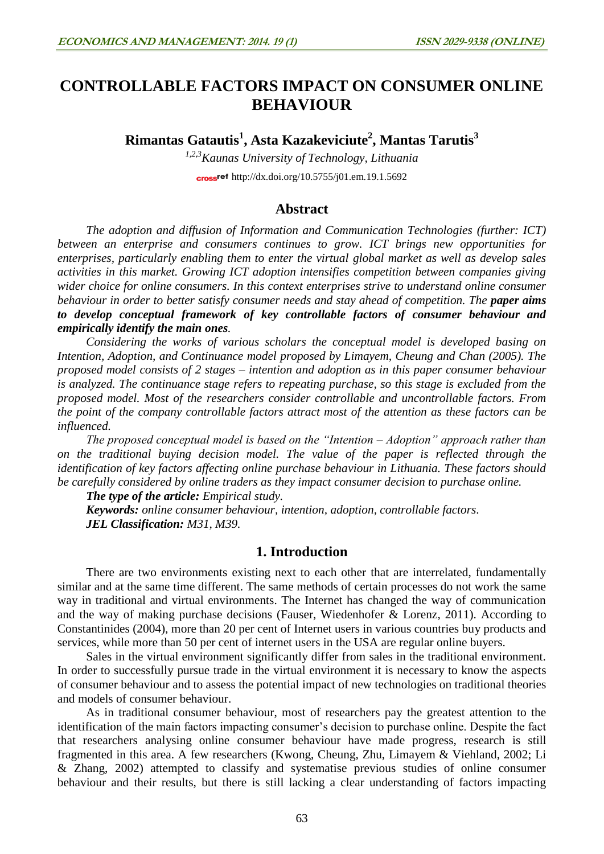# **CONTROLLABLE FACTORS IMPACT ON CONSUMER ONLINE BEHAVIOUR**

**Rimantas Gatautis<sup>1</sup> , Asta Kazakeviciute 2 , Mantas Tarutis<sup>3</sup>**

*1,2,3Kaunas University of Technology, Lithuania* cross<sup>ref</sup> <http://dx.doi.org/10.5755/j01.em.19.1.5692>

## **Abstract**

*The adoption and diffusion of Information and Communication Technologies (further: ICT) between an enterprise and consumers continues to grow. ICT brings new opportunities for enterprises, particularly enabling them to enter the virtual global market as well as develop sales activities in this market. Growing ICT adoption intensifies competition between companies giving wider choice for online consumers. In this context enterprises strive to understand online consumer behaviour in order to better satisfy consumer needs and stay ahead of competition. The paper aims to develop conceptual framework of key controllable factors of consumer behaviour and empirically identify the main ones.*

*Considering the works of various scholars the conceptual model is developed basing on Intention, Adoption, and Continuance model proposed by Limayem, Cheung and Chan (2005). The proposed model consists of 2 stages – intention and adoption as in this paper consumer behaviour is analyzed. The continuance stage refers to repeating purchase, so this stage is excluded from the proposed model. Most of the researchers consider controllable and uncontrollable factors. From the point of the company controllable factors attract most of the attention as these factors can be influenced.* 

*The proposed conceptual model is based on the "Intention – Adoption" approach rather than on the traditional buying decision model. The value of the paper is reflected through the identification of key factors affecting online purchase behaviour in Lithuania. These factors should be carefully considered by online traders as they impact consumer decision to purchase online.*

*The type of the article: Empirical study.*

*Keywords: online consumer behaviour, intention, adoption, controllable factors. JEL Classification: M31, M39.*

## **1. Introduction**

There are two environments existing next to each other that are interrelated, fundamentally similar and at the same time different. The same methods of certain processes do not work the same way in traditional and virtual environments. The Internet has changed the way of communication and the way of making purchase decisions (Fauser, Wiedenhofer & Lorenz, 2011). According to Constantinides (2004), more than 20 per cent of Internet users in various countries buy products and services, while more than 50 per cent of internet users in the USA are regular online buyers.

Sales in the virtual environment significantly differ from sales in the traditional environment. In order to successfully pursue trade in the virtual environment it is necessary to know the aspects of consumer behaviour and to assess the potential impact of new technologies on traditional theories and models of consumer behaviour.

As in traditional consumer behaviour, most of researchers pay the greatest attention to the identification of the main factors impacting consumer's decision to purchase online. Despite the fact that researchers analysing online consumer behaviour have made progress, research is still fragmented in this area. A few researchers (Kwong, Cheung, Zhu, Limayem & Viehland, 2002; Li & Zhang, 2002) attempted to classify and systematise previous studies of online consumer behaviour and their results, but there is still lacking a clear understanding of factors impacting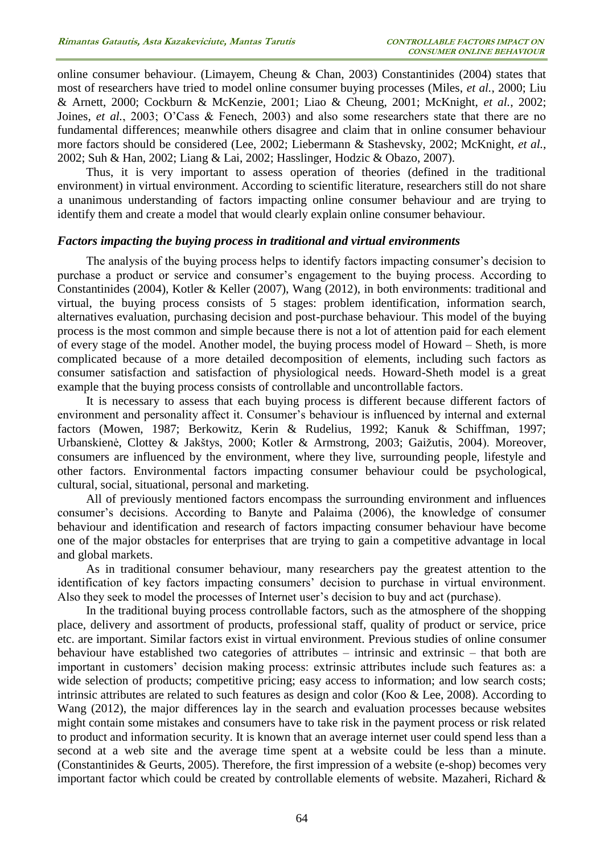online consumer behaviour. (Limayem, Cheung & Chan, 2003) Constantinides (2004) states that most of researchers have tried to model online consumer buying processes (Miles, *et al.*, 2000; Liu & Arnett, 2000; Cockburn & McKenzie, 2001; Liao & Cheung, 2001; McKnight, *et al.*, 2002; Joines, *et al.*, 2003; O'Cass & Fenech, 2003) and also some researchers state that there are no fundamental differences; meanwhile others disagree and claim that in online consumer behaviour more factors should be considered (Lee, 2002; Liebermann & Stashevsky, 2002; McKnight, *et al.*, 2002; Suh & Han, 2002; Liang & Lai, 2002; Hasslinger, Hodzic & Obazo, 2007).

Thus, it is very important to assess operation of theories (defined in the traditional environment) in virtual environment. According to scientific literature, researchers still do not share a unanimous understanding of factors impacting online consumer behaviour and are trying to identify them and create a model that would clearly explain online consumer behaviour.

#### *Factors impacting the buying process in traditional and virtual environments*

The analysis of the buying process helps to identify factors impacting consumer's decision to purchase a product or service and consumer's engagement to the buying process. According to Constantinides (2004), Kotler & Keller (2007), Wang (2012), in both environments: traditional and virtual, the buying process consists of 5 stages: problem identification, information search, alternatives evaluation, purchasing decision and post-purchase behaviour. This model of the buying process is the most common and simple because there is not a lot of attention paid for each element of every stage of the model. Another model, the buying process model of Howard – Sheth, is more complicated because of a more detailed decomposition of elements, including such factors as consumer satisfaction and satisfaction of physiological needs. Howard-Sheth model is a great example that the buying process consists of controllable and uncontrollable factors.

It is necessary to assess that each buying process is different because different factors of environment and personality affect it. Consumer's behaviour is influenced by internal and external factors (Mowen, 1987; Berkowitz, Kerin & Rudelius, 1992; Kanuk & Schiffman, 1997; Urbanskienė, Clottey & Jakštys, 2000; Kotler & Armstrong, 2003; Gaižutis, 2004). Moreover, consumers are influenced by the environment, where they live, surrounding people, lifestyle and other factors. Environmental factors impacting consumer behaviour could be psychological, cultural, social, situational, personal and marketing.

All of previously mentioned factors encompass the surrounding environment and influences consumer's decisions. According to Banyte and Palaima (2006), the knowledge of consumer behaviour and identification and research of factors impacting consumer behaviour have become one of the major obstacles for enterprises that are trying to gain a competitive advantage in local and global markets.

As in traditional consumer behaviour, many researchers pay the greatest attention to the identification of key factors impacting consumers' decision to purchase in virtual environment. Also they seek to model the processes of Internet user's decision to buy and act (purchase).

In the traditional buying process controllable factors, such as the atmosphere of the shopping place, delivery and assortment of products, professional staff, quality of product or service, price etc. are important. Similar factors exist in virtual environment. Previous studies of online consumer behaviour have established two categories of attributes – intrinsic and extrinsic – that both are important in customers' decision making process: extrinsic attributes include such features as: a wide selection of products; competitive pricing; easy access to information; and low search costs; intrinsic attributes are related to such features as design and color (Koo & Lee, 2008). According to Wang (2012), the major differences lay in the search and evaluation processes because websites might contain some mistakes and consumers have to take risk in the payment process or risk related to product and information security. It is known that an average internet user could spend less than a second at a web site and the average time spent at a website could be less than a minute. (Constantinides & Geurts, 2005). Therefore, the first impression of a website (e-shop) becomes very important factor which could be created by controllable elements of website. Mazaheri, Richard &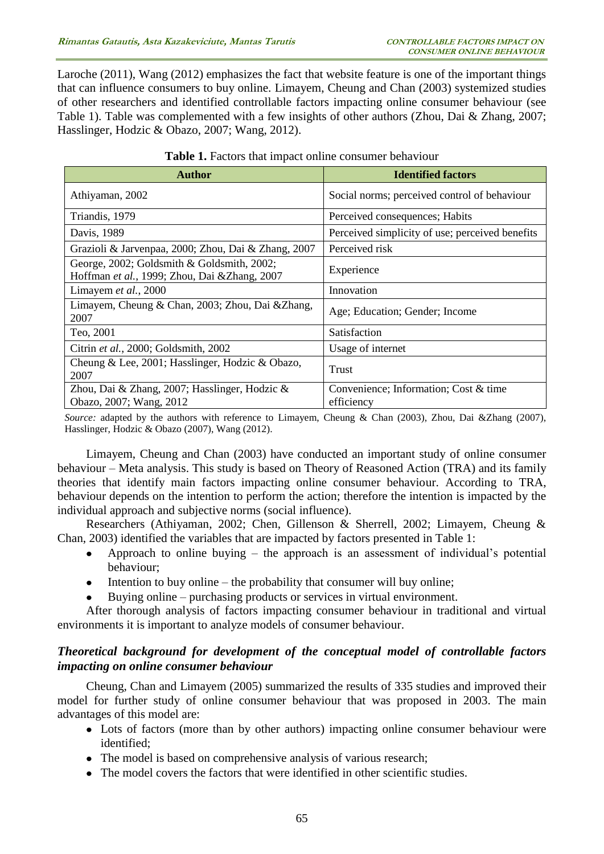Laroche (2011), Wang (2012) emphasizes the fact that website feature is one of the important things that can influence consumers to buy online. Limayem, Cheung and Chan (2003) systemized studies of other researchers and identified controllable factors impacting online consumer behaviour (see Table 1). Table was complemented with a few insights of other authors (Zhou, Dai & Zhang, 2007; Hasslinger, Hodzic & Obazo, 2007; Wang, 2012).

| <b>Author</b>                                                                               | <b>Identified factors</b>                           |
|---------------------------------------------------------------------------------------------|-----------------------------------------------------|
| Athiyaman, 2002                                                                             | Social norms; perceived control of behaviour        |
| Triandis, 1979                                                                              | Perceived consequences; Habits                      |
| Davis, 1989                                                                                 | Perceived simplicity of use; perceived benefits     |
| Grazioli & Jarvenpaa, 2000; Zhou, Dai & Zhang, 2007                                         | Perceived risk                                      |
| George, 2002; Goldsmith & Goldsmith, 2002;<br>Hoffman et al., 1999; Zhou, Dai & Zhang, 2007 | Experience                                          |
| Limayem et al., 2000                                                                        | Innovation                                          |
| Limayem, Cheung & Chan, 2003; Zhou, Dai & Zhang,<br>2007                                    | Age; Education; Gender; Income                      |
| Teo, 2001                                                                                   | Satisfaction                                        |
| Citrin et al., 2000; Goldsmith, 2002                                                        | Usage of internet                                   |
| Cheung & Lee, 2001; Hasslinger, Hodzic & Obazo,<br>2007                                     | Trust                                               |
| Zhou, Dai & Zhang, 2007; Hasslinger, Hodzic &<br>Obazo, 2007; Wang, 2012                    | Convenience; Information; Cost & time<br>efficiency |

| <b>Table 1.</b> Factors that impact online consumer behaviour |
|---------------------------------------------------------------|
|---------------------------------------------------------------|

*Source:* adapted by the authors with reference to Limayem, Cheung & Chan (2003), Zhou, Dai &Zhang (2007), Hasslinger, Hodzic & Obazo (2007), Wang (2012).

Limayem, Cheung and Chan (2003) have conducted an important study of online consumer behaviour – Meta analysis. This study is based on Theory of Reasoned Action (TRA) and its family theories that identify main factors impacting online consumer behaviour. According to TRA, behaviour depends on the intention to perform the action; therefore the intention is impacted by the individual approach and subjective norms (social influence).

Researchers (Athiyaman, 2002; Chen, Gillenson & Sherrell, 2002; Limayem, Cheung & Chan, 2003) identified the variables that are impacted by factors presented in Table 1:

- Approach to online buying the approach is an assessment of individual's potential behaviour;
- Intention to buy online the probability that consumer will buy online;
- Buying online purchasing products or services in virtual environment.

After thorough analysis of factors impacting consumer behaviour in traditional and virtual environments it is important to analyze models of consumer behaviour.

## *Theoretical background for development of the conceptual model of controllable factors impacting on online consumer behaviour*

Cheung, Chan and Limayem (2005) summarized the results of 335 studies and improved their model for further study of online consumer behaviour that was proposed in 2003. The main advantages of this model are:

- Lots of factors (more than by other authors) impacting online consumer behaviour were identified;
- The model is based on comprehensive analysis of various research;
- The model covers the factors that were identified in other scientific studies.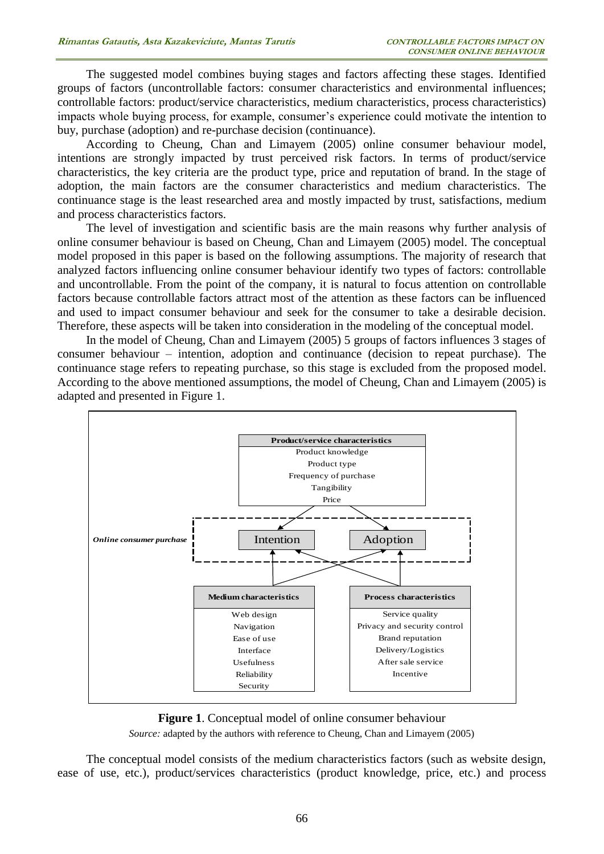The suggested model combines buying stages and factors affecting these stages. Identified groups of factors (uncontrollable factors: consumer characteristics and environmental influences; controllable factors: product/service characteristics, medium characteristics, process characteristics) impacts whole buying process, for example, consumer's experience could motivate the intention to buy, purchase (adoption) and re-purchase decision (continuance).

According to Cheung, Chan and Limayem (2005) online consumer behaviour model, intentions are strongly impacted by trust perceived risk factors. In terms of product/service characteristics, the key criteria are the product type, price and reputation of brand. In the stage of adoption, the main factors are the consumer characteristics and medium characteristics. The continuance stage is the least researched area and mostly impacted by trust, satisfactions, medium and process characteristics factors.

The level of investigation and scientific basis are the main reasons why further analysis of online consumer behaviour is based on Cheung, Chan and Limayem (2005) model. The conceptual model proposed in this paper is based on the following assumptions. The majority of research that analyzed factors influencing online consumer behaviour identify two types of factors: controllable and uncontrollable. From the point of the company, it is natural to focus attention on controllable factors because controllable factors attract most of the attention as these factors can be influenced and used to impact consumer behaviour and seek for the consumer to take a desirable decision. Therefore, these aspects will be taken into consideration in the modeling of the conceptual model.

In the model of Cheung, Chan and Limayem (2005) 5 groups of factors influences 3 stages of consumer behaviour – intention, adoption and continuance (decision to repeat purchase). The continuance stage refers to repeating purchase, so this stage is excluded from the proposed model. According to the above mentioned assumptions, the model of Cheung, Chan and Limayem (2005) is adapted and presented in Figure 1.



**Figure 1**. Conceptual model of online consumer behaviour *Source:* adapted by the authors with reference to Cheung, Chan and Limayem (2005)

The conceptual model consists of the medium characteristics factors (such as website design, ease of use, etc.), product/services characteristics (product knowledge, price, etc.) and process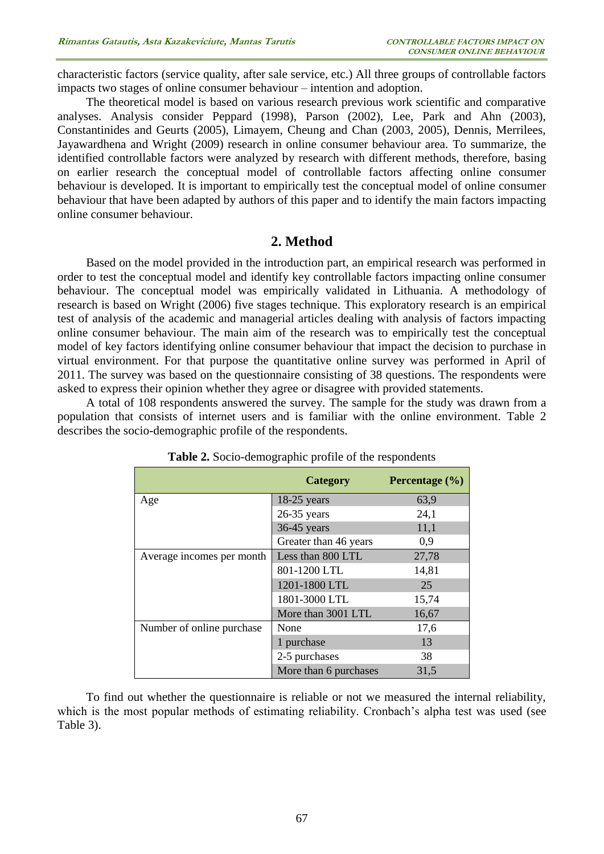characteristic factors (service quality, after sale service, etc.) All three groups of controllable factors impacts two stages of online consumer behaviour – intention and adoption.

The theoretical model is based on various research previous work scientific and comparative analyses. Analysis consider Peppard (1998), Parson (2002), Lee, Park and Ahn (2003), Constantinides and Geurts (2005), Limayem, Cheung and Chan (2003, 2005), Dennis, Merrilees, Jayawardhena and Wright (2009) research in online consumer behaviour area. To summarize, the identified controllable factors were analyzed by research with different methods, therefore, basing on earlier research the conceptual model of controllable factors affecting online consumer behaviour is developed. It is important to empirically test the conceptual model of online consumer behaviour that have been adapted by authors of this paper and to identify the main factors impacting online consumer behaviour.

## **2. Method**

Based on the model provided in the introduction part, an empirical research was performed in order to test the conceptual model and identify key controllable factors impacting online consumer behaviour. The conceptual model was empirically validated in Lithuania. A methodology of research is based on Wright (2006) five stages technique. This exploratory research is an empirical test of analysis of the academic and managerial articles dealing with analysis of factors impacting online consumer behaviour. The main aim of the research was to empirically test the conceptual model of key factors identifying online consumer behaviour that impact the decision to purchase in virtual environment. For that purpose the quantitative online survey was performed in April of 2011. The survey was based on the questionnaire consisting of 38 questions. The respondents were asked to express their opinion whether they agree or disagree with provided statements.

A total of 108 respondents answered the survey. The sample for the study was drawn from a population that consists of internet users and is familiar with the online environment. Table 2 describes the socio-demographic profile of the respondents.

|                           | <b>Category</b>       | Percentage $(\% )$ |  |
|---------------------------|-----------------------|--------------------|--|
| Age                       | $18-25$ years         | 63,9               |  |
|                           | $26-35$ years         | 24,1               |  |
|                           | $36-45$ years         | 11,1               |  |
|                           | Greater than 46 years | 0,9                |  |
| Average incomes per month | Less than 800 LTL     | 27,78              |  |
|                           | 801-1200 LTL          | 14,81              |  |
|                           | 1201-1800 LTL         | 25                 |  |
|                           | 1801-3000 LTL         | 15,74              |  |
|                           | More than 3001 LTL    | 16,67              |  |
| Number of online purchase | None                  | 17,6               |  |
|                           | 1 purchase            | 13                 |  |
|                           | 2-5 purchases         | 38                 |  |
|                           | More than 6 purchases | 31,5               |  |

| Table 2. Socio-demographic profile of the respondents |  |
|-------------------------------------------------------|--|
|-------------------------------------------------------|--|

To find out whether the questionnaire is reliable or not we measured the internal reliability, which is the most popular methods of estimating reliability. Cronbach's alpha test was used (see Table 3).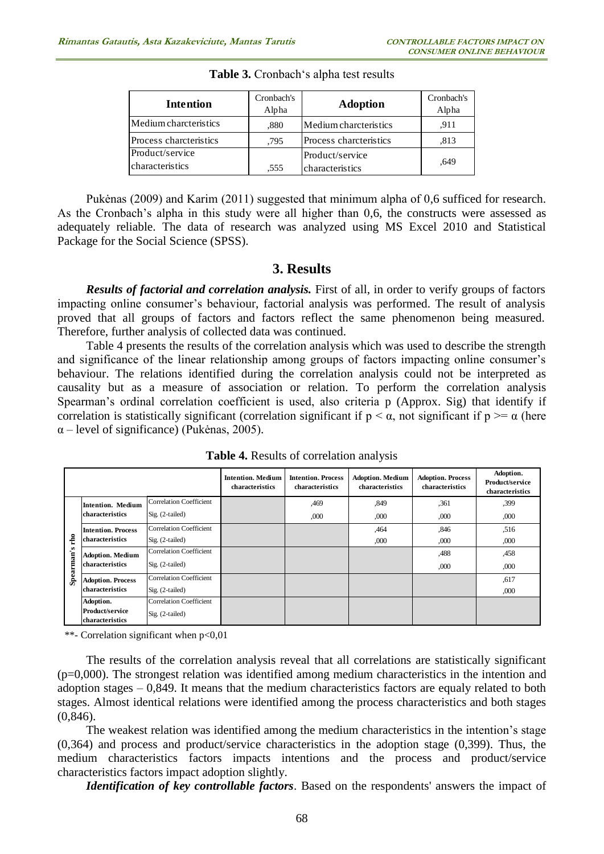| <b>Intention</b>                          | Cronbach's<br>Alpha | <b>Adoption</b>                    | Cronbach's<br>Alpha |
|-------------------------------------------|---------------------|------------------------------------|---------------------|
| Medium charcteristics                     | .880                | Medium charcteristics              | .911                |
| Process charcteristics                    | .795                | Process charcteristics             | .813                |
| Product/service<br><i>characteristics</i> | .555                | Product/service<br>characteristics | .649                |

**Table 3.** Cronbach's alpha test results

Pukėnas (2009) and Karim (2011) suggested that minimum alpha of 0,6 sufficed for research. As the Cronbach's alpha in this study were all higher than 0,6, the constructs were assessed as adequately reliable. The data of research was analyzed using MS Excel 2010 and Statistical Package for the Social Science (SPSS).

#### **3. Results**

*Results of factorial and correlation analysis.* First of all, in order to verify groups of factors impacting online consumer's behaviour, factorial analysis was performed. The result of analysis proved that all groups of factors and factors reflect the same phenomenon being measured. Therefore, further analysis of collected data was continued.

Table 4 presents the results of the correlation analysis which was used to describe the strength and significance of the linear relationship among groups of factors impacting online consumer's behaviour. The relations identified during the correlation analysis could not be interpreted as causality but as a measure of association or relation. To perform the correlation analysis Spearman's ordinal correlation coefficient is used, also criteria p (Approx. Sig) that identify if correlation is statistically significant (correlation significant if  $p < \alpha$ , not significant if  $p \geq \alpha$  (here  $\alpha$  – level of significance) (Pukėnas, 2005).

|                                              |                                    |                                | <b>Intention. Medium</b><br>characteristics | <b>Intention. Process</b><br>characteristics | <b>Adoption. Medium</b><br>characteristics | <b>Adoption. Process</b><br>characteristics | Adoption.<br>Product/service<br>characteristics |
|----------------------------------------------|------------------------------------|--------------------------------|---------------------------------------------|----------------------------------------------|--------------------------------------------|---------------------------------------------|-------------------------------------------------|
|                                              | Intention. Medium                  | Correlation Coefficient        |                                             | ,469                                         | .849                                       | ,361                                        | ,399                                            |
|                                              | characteristics                    | Sig. (2-tailed)                |                                             | .000                                         | ,000                                       | ,000                                        | ,000                                            |
|                                              | <b>Intention. Process</b>          | Correlation Coefficient        |                                             |                                              | ,464                                       | .846                                        | .516                                            |
| rho                                          | characteristics                    | Sig. (2-tailed)                |                                             |                                              | ,000                                       | ,000                                        | ,000                                            |
| s<br>$\overline{a}$<br>Ē<br>æ<br><b>Spec</b> | <b>Adoption. Medium</b>            | <b>Correlation Coefficient</b> |                                             |                                              |                                            | .488                                        | ,458                                            |
|                                              | characteristics                    | Sig. (2-tailed)                |                                             |                                              |                                            | ,000                                        | ,000                                            |
|                                              | <b>Adoption. Process</b>           | Correlation Coefficient        |                                             |                                              |                                            |                                             | ,617                                            |
|                                              | characteristics                    | Sig. (2-tailed)                |                                             |                                              |                                            |                                             | ,000                                            |
|                                              | Adoption.                          | Correlation Coefficient        |                                             |                                              |                                            |                                             |                                                 |
|                                              | Product/service<br>characteristics | Sig. (2-tailed)                |                                             |                                              |                                            |                                             |                                                 |
|                                              |                                    |                                |                                             |                                              |                                            |                                             |                                                 |

**Table 4.** Results of correlation analysis

\*\*- Correlation significant when p<0,01

The results of the correlation analysis reveal that all correlations are statistically significant  $(p=0,000)$ . The strongest relation was identified among medium characteristics in the intention and adoption stages – 0,849. It means that the medium characteristics factors are equaly related to both stages. Almost identical relations were identified among the process characteristics and both stages (0,846).

The weakest relation was identified among the medium characteristics in the intention's stage (0,364) and process and product/service characteristics in the adoption stage (0,399). Thus, the medium characteristics factors impacts intentions and the process and product/service characteristics factors impact adoption slightly.

*Identification of key controllable factors*. Based on the respondents' answers the impact of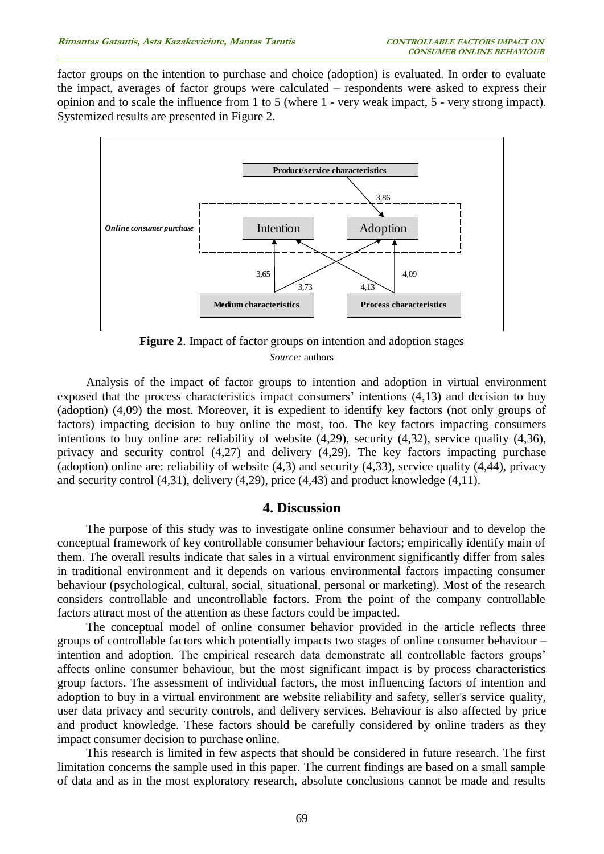factor groups on the intention to purchase and choice (adoption) is evaluated. In order to evaluate the impact, averages of factor groups were calculated – respondents were asked to express their opinion and to scale the influence from 1 to 5 (where 1 - very weak impact, 5 - very strong impact). Systemized results are presented in Figure 2.



**Figure 2**. Impact of factor groups on intention and adoption stages *Source:* authors

Analysis of the impact of factor groups to intention and adoption in virtual environment exposed that the process characteristics impact consumers' intentions (4,13) and decision to buy (adoption) (4,09) the most. Moreover, it is expedient to identify key factors (not only groups of factors) impacting decision to buy online the most, too. The key factors impacting consumers intentions to buy online are: reliability of website (4,29), security (4,32), service quality (4,36), privacy and security control (4,27) and delivery (4,29). The key factors impacting purchase (adoption) online are: reliability of website (4,3) and security (4,33), service quality (4,44), privacy and security control (4,31), delivery (4,29), price (4,43) and product knowledge (4,11).

#### **4. Discussion**

The purpose of this study was to investigate online consumer behaviour and to develop the conceptual framework of key controllable consumer behaviour factors; empirically identify main of them. The overall results indicate that sales in a virtual environment significantly differ from sales in traditional environment and it depends on various environmental factors impacting consumer behaviour (psychological, cultural, social, situational, personal or marketing). Most of the research considers controllable and uncontrollable factors. From the point of the company controllable factors attract most of the attention as these factors could be impacted.

The conceptual model of online consumer behavior provided in the article reflects three groups of controllable factors which potentially impacts two stages of online consumer behaviour – intention and adoption. The empirical research data demonstrate all controllable factors groups' affects online consumer behaviour, but the most significant impact is by process characteristics group factors. The assessment of individual factors, the most influencing factors of intention and adoption to buy in a virtual environment are website reliability and safety, seller's service quality, user data privacy and security controls, and delivery services. Behaviour is also affected by price and product knowledge. These factors should be carefully considered by online traders as they impact consumer decision to purchase online.

This research is limited in few aspects that should be considered in future research. The first limitation concerns the sample used in this paper. The current findings are based on a small sample of data and as in the most exploratory research, absolute conclusions cannot be made and results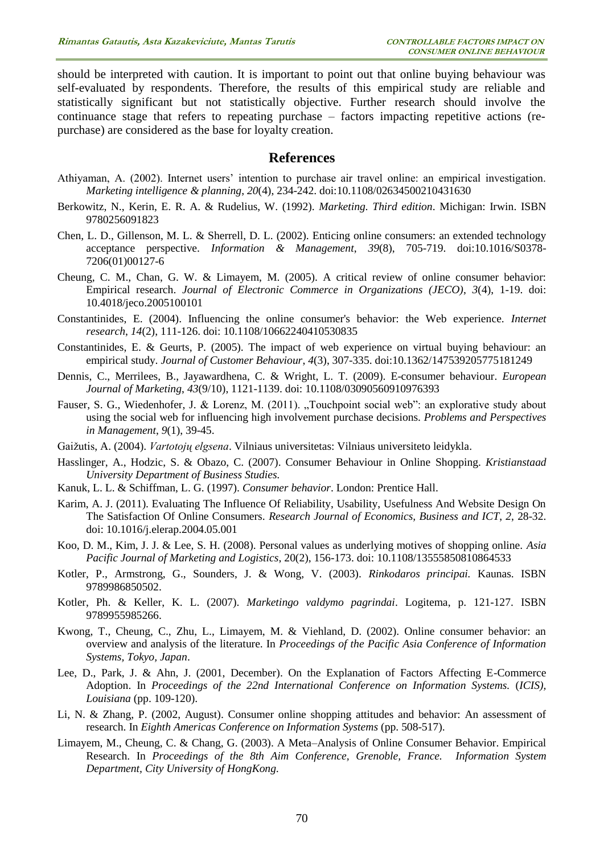should be interpreted with caution. It is important to point out that online buying behaviour was self-evaluated by respondents. Therefore, the results of this empirical study are reliable and statistically significant but not statistically objective. Further research should involve the continuance stage that refers to repeating purchase – factors impacting repetitive actions (repurchase) are considered as the base for loyalty creation.

#### **References**

- Athiyaman, A. (2002). Internet users' intention to purchase air travel online: an empirical investigation. *Marketing intelligence & planning*, *20*(4), 234-242. doi:10.1108/02634500210431630
- Berkowitz, N., Kerin, E. R. A. & Rudelius, W. (1992). *Marketing. Third edition*. Michigan: Irwin. ISBN 9780256091823
- Chen, L. D., Gillenson, M. L. & Sherrell, D. L. (2002). Enticing online consumers: an extended technology acceptance perspective. *Information & Management*, *39*(8), 705-719. doi:10.1016/S0378- 7206(01)00127-6
- Cheung, C. M., Chan, G. W. & Limayem, M. (2005). A critical review of online consumer behavior: Empirical research. *Journal of Electronic Commerce in Organizations (JECO)*, *3*(4), 1-19. doi: 10.4018/jeco.2005100101
- Constantinides, E. (2004). Influencing the online consumer's behavior: the Web experience. *Internet research*, *14*(2), 111-126. doi: 10.1108/10662240410530835
- Constantinides, E. & Geurts, P. (2005). The impact of web experience on virtual buying behaviour: an empirical study. *Journal of Customer Behaviour*, *4*(3), 307-335. doi:10.1362/147539205775181249
- Dennis, C., Merrilees, B., Jayawardhena, C. & Wright, L. T. (2009). E-consumer behaviour. *European Journal of Marketing*, *43*(9/10), 1121-1139. doi: 10.1108/03090560910976393
- Fauser, S. G., Wiedenhofer, J. & Lorenz, M. (2011). "Touchpoint social web": an explorative study about using the social web for influencing high involvement purchase decisions. *Problems and Perspectives in Management*, *9*(1), 39-45.
- Gaižutis, A. (2004). *Vartotojų elgsena*. Vilniaus universitetas: Vilniaus universiteto leidykla.
- Hasslinger, A., Hodzic, S. & Obazo, C. (2007). Consumer Behaviour in Online Shopping. *Kristianstaad University Department of Business Studies.*
- Kanuk, L. L. & Schiffman, L. G. (1997). *Consumer behavior*. London: Prentice Hall.
- Karim, A. J. (2011). Evaluating The Influence Of Reliability, Usability, Usefulness And Website Design On The Satisfaction Of Online Consumers. *Research Journal of Economics, Business and ICT*, *2*, 28-32. doi: 10.1016/j.elerap.2004.05.001
- Koo, D. M., Kim, J. J. & Lee, S. H. (2008). Personal values as underlying motives of shopping online. *Asia Pacific Journal of Marketing and Logistics*, 20(2), 156-173. doi: 10.1108/13555850810864533
- Kotler, P., Armstrong, G., Sounders, J. & Wong, V. (2003). *Rinkodaros principai.* Kaunas. ISBN 9789986850502.
- Kotler, Ph. & Keller, K. L. (2007). *Marketingo valdymo pagrindai*. Logitema, p. 121-127. ISBN 9789955985266.
- Kwong, T., Cheung, C., Zhu, L., Limayem, M. & Viehland, D. (2002). Online consumer behavior: an overview and analysis of the literature. In *Proceedings of the Pacific Asia Conference of Information Systems, Tokyo, Japan*.
- Lee, D., Park, J. & Ahn, J. (2001, December). On the Explanation of Factors Affecting E-Commerce Adoption. In *Proceedings of the 22nd International Conference on Information Systems.* (*ICIS), Louisiana* (pp. 109-120).
- Li, N. & Zhang, P. (2002, August). Consumer online shopping attitudes and behavior: An assessment of research. In *Eighth Americas Conference on Information Systems* (pp. 508-517).
- Limayem, M., Cheung, C. & Chang, G. (2003). A Meta–Analysis of Online Consumer Behavior. Empirical Research. In *Proceedings of the 8th Aim Conference, Grenoble, France. Information System Department, City University of HongKong.*